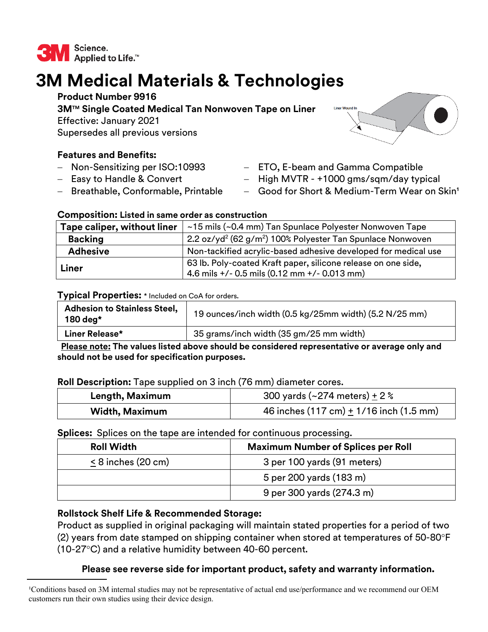

# **3M Medical Materials & Technologies**

### **Product Number 9916**

**3MTM Single Coated Medical Tan Nonwoven Tape on Liner** 

Effective: January 2021

Supersedes all previous versions

# **Features and Benefits:**

- Non-Sensitizing per ISO:10993
- Easy to Handle & Convert
- Breathable, Conformable, Printable



- ETO, E-beam and Gamma Compatible
- High MVTR +1000 gms/sqm/day typical
- Good for Short & Medium-Term Wear on Skin<sup>1</sup>

#### **Composition: Listed in same order as construction**

| Tape caliper, without liner | ~15 mils (~0.4 mm) Tan Spunlace Polyester Nonwoven Tape                                                       |
|-----------------------------|---------------------------------------------------------------------------------------------------------------|
| <b>Backing</b>              | 2.2 oz/yd <sup>2</sup> (62 g/m <sup>2</sup> ) 100% Polyester Tan Spunlace Nonwoven                            |
| <b>Adhesive</b>             | Non-tackified acrylic-based adhesive developed for medical use                                                |
| Liner                       | 63 lb. Poly-coated Kraft paper, silicone release on one side,<br>4.6 mils +/- 0.5 mils (0.12 mm +/- 0.013 mm) |

#### **Typical Properties:** \* Included on CoA for orders.

| <b>Adhesion to Stainless Steel,</b><br>180 deg $*$ | 19 ounces/inch width (0.5 kg/25mm width) (5.2 N/25 mm) |
|----------------------------------------------------|--------------------------------------------------------|
| Liner Release*                                     | 35 grams/inch width (35 gm/25 mm width)                |

**Please note: The values listed above should be considered representative or average only and should not be used for specification purposes.**

#### **Roll Description:** Tape supplied on 3 inch (76 mm) diameter cores.

| Length, Maximum       | 300 yards (~274 meters) $\pm$ 2 %                           |
|-----------------------|-------------------------------------------------------------|
| <b>Width, Maximum</b> | 46 inches $(117 \text{ cm}) + 1/16$ inch $(1.5 \text{ mm})$ |

#### **Splices:** Splices on the tape are intended for continuous processing.

| <b>Roll Width</b>    | <b>Maximum Number of Splices per Roll</b> |
|----------------------|-------------------------------------------|
| $< 8$ inches (20 cm) | 3 per 100 yards (91 meters)               |
|                      | 5 per 200 yards (183 m)                   |
|                      | 9 per 300 yards (274.3 m)                 |

# **Rollstock Shelf Life & Recommended Storage:**

Product as supplied in original packaging will maintain stated properties for a period of two (2) years from date stamped on shipping container when stored at temperatures of  $50$ -80 $\degree$ F  $(10-27\degree C)$  and a relative humidity between 40-60 percent.

#### **Please see reverse side for important product, safety and warranty information.**

Conditions based on 3M internal studies may not be representative of actual end use/performance and we recommend our OEM customers run their own studies using their device design.